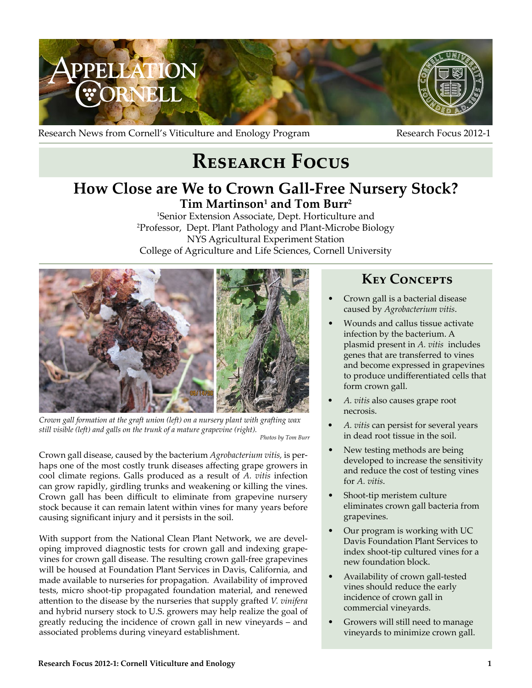

Research News from Cornell's Viticulture and Enology Program Research Focus 2012-1

# **Research Focus**

## **How Close are We to Crown Gall-Free Nursery Stock?**  $\mathbf{Tim}$  Martinson<sup>1</sup> and Tom Burr<sup>2</sup>

1 Senior Extension Associate, Dept. Horticulture and 2 Professor, Dept. Plant Pathology and Plant-Microbe Biology NYS Agricultural Experiment Station College of Agriculture and Life Sciences, Cornell University



*Crown gall formation at the graft union (left) on a nursery plant with grafting wax still visible (left) and galls on the trunk of a mature grapevine (right). Photos by Tom Burr*

Crown gall disease, caused by the bacterium *Agrobacterium vitis,* is perhaps one of the most costly trunk diseases affecting grape growers in cool climate regions. Galls produced as a result of *A. vitis* infection can grow rapidly, girdling trunks and weakening or killing the vines. Crown gall has been difficult to eliminate from grapevine nursery stock because it can remain latent within vines for many years before causing significant injury and it persists in the soil.

With support from the National Clean Plant Network, we are developing improved diagnostic tests for crown gall and indexing grapevines for crown gall disease. The resulting crown gall-free grapevines will be housed at Foundation Plant Services in Davis, California, and made available to nurseries for propagation. Availability of improved tests, micro shoot-tip propagated foundation material, and renewed attention to the disease by the nurseries that supply grafted *V. vinifera* and hybrid nursery stock to U.S. growers may help realize the goal of greatly reducing the incidence of crown gall in new vineyards – and associated problems during vineyard establishment.

## **Key Concepts**

- Crown gall is a bacterial disease caused by *Agrobacterium vitis*.
- Wounds and callus tissue activate infection by the bacterium. A plasmid present in *A. vitis* includes genes that are transferred to vines and become expressed in grapevines to produce undifferentiated cells that form crown gall.
- *• A. vitis* also causes grape root necrosis.
- A. vitis can persist for several years in dead root tissue in the soil.
- New testing methods are being developed to increase the sensitivity and reduce the cost of testing vines for *A. vitis*.
- Shoot-tip meristem culture eliminates crown gall bacteria from grapevines.
- Our program is working with UC Davis Foundation Plant Services to index shoot-tip cultured vines for a new foundation block.
- Availability of crown gall-tested vines should reduce the early incidence of crown gall in commercial vineyards.
- Growers will still need to manage vineyards to minimize crown gall.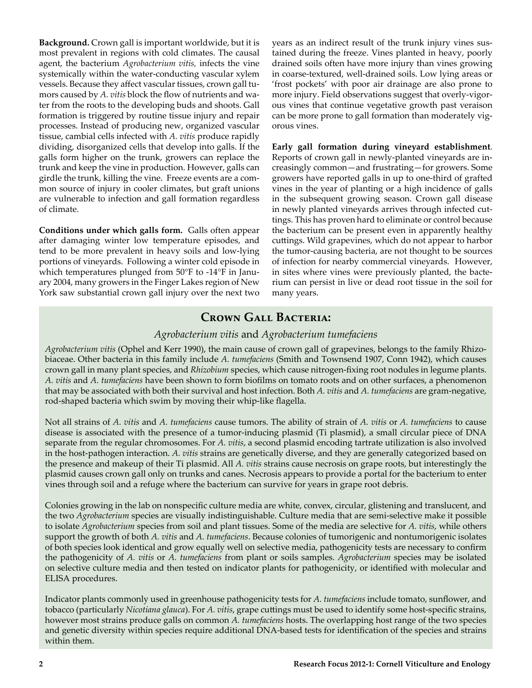**Background.** Crown gall is important worldwide, but it is most prevalent in regions with cold climates. The causal agent, the bacterium *Agrobacterium vitis,* infects the vine systemically within the water-conducting vascular xylem vessels. Because they affect vascular tissues, crown gall tumors caused by *A. vitis* block the flow of nutrients and water from the roots to the developing buds and shoots. Gall formation is triggered by routine tissue injury and repair processes. Instead of producing new, organized vascular tissue, cambial cells infected with *A. vitis* produce rapidly dividing, disorganized cells that develop into galls. If the galls form higher on the trunk, growers can replace the trunk and keep the vine in production. However, galls can girdle the trunk, killing the vine. Freeze events are a common source of injury in cooler climates, but graft unions are vulnerable to infection and gall formation regardless of climate.

**Conditions under which galls form.** Galls often appear after damaging winter low temperature episodes, and tend to be more prevalent in heavy soils and low-lying portions of vineyards. Following a winter cold episode in which temperatures plunged from 50°F to -14°F in January 2004, many growers in the Finger Lakes region of New York saw substantial crown gall injury over the next two years as an indirect result of the trunk injury vines sustained during the freeze. Vines planted in heavy, poorly drained soils often have more injury than vines growing in coarse-textured, well-drained soils. Low lying areas or 'frost pockets' with poor air drainage are also prone to more injury. Field observations suggest that overly-vigorous vines that continue vegetative growth past veraison can be more prone to gall formation than moderately vigorous vines.

**Early gall formation during vineyard establishment**. Reports of crown gall in newly-planted vineyards are increasingly common—and frustrating—for growers. Some growers have reported galls in up to one-third of grafted vines in the year of planting or a high incidence of galls in the subsequent growing season. Crown gall disease in newly planted vineyards arrives through infected cuttings. This has proven hard to eliminate or control because the bacterium can be present even in apparently healthy cuttings. Wild grapevines, which do not appear to harbor the tumor-causing bacteria, are not thought to be sources of infection for nearby commercial vineyards. However, in sites where vines were previously planted, the bacterium can persist in live or dead root tissue in the soil for many years.

### **Crown Gall Bacteria:**

#### *Agrobacterium vitis* and *Agrobacterium tumefaciens*

*Agrobacterium vitis* (Ophel and Kerr 1990), the main cause of crown gall of grapevines, belongs to the family Rhizobiaceae. Other bacteria in this family include *A. tumefaciens* (Smith and Townsend 1907, Conn 1942), which causes crown gall in many plant species, and *Rhizobium* species, which cause nitrogen-fixing root nodules in legume plants. *A. vitis* and *A. tumefaciens* have been shown to form biofilms on tomato roots and on other surfaces, a phenomenon that may be associated with both their survival and host infection. Both *A. vitis* and *A. tumefaciens* are gram-negative, rod-shaped bacteria which swim by moving their whip-like flagella.

Not all strains of *A. vitis* and *A. tumefaciens* cause tumors. The ability of strain of *A. vitis* or *A. tumefaciens* to cause disease is associated with the presence of a tumor-inducing plasmid (Ti plasmid), a small circular piece of DNA separate from the regular chromosomes. For *A. vitis*, a second plasmid encoding tartrate utilization is also involved in the host-pathogen interaction. *A. vitis* strains are genetically diverse, and they are generally categorized based on the presence and makeup of their Ti plasmid. All *A. vitis* strains cause necrosis on grape roots, but interestingly the plasmid causes crown gall only on trunks and canes. Necrosis appears to provide a portal for the bacterium to enter vines through soil and a refuge where the bacterium can survive for years in grape root debris.

Colonies growing in the lab on nonspecific culture media are white, convex, circular, glistening and translucent, and the two *Agrobacterium* species are visually indistinguishable. Culture media that are semi-selective make it possible to isolate *Agrobacterium* species from soil and plant tissues. Some of the media are selective for *A. vitis*, while others support the growth of both *A. vitis* and *A. tumefaciens*. Because colonies of tumorigenic and nontumorigenic isolates of both species look identical and grow equally well on selective media, pathogenicity tests are necessary to confirm the pathogenicity of *A. vitis* or *A. tumefaciens* from plant or soils samples. *Agrobacterium* species may be isolated on selective culture media and then tested on indicator plants for pathogenicity, or identified with molecular and ELISA procedures.

Indicator plants commonly used in greenhouse pathogenicity tests for *A. tumefaciens* include tomato, sunflower, and tobacco (particularly *Nicotiana glauca*). For *A. vitis*, grape cuttings must be used to identify some host-specific strains, however most strains produce galls on common *A. tumefaciens* hosts. The overlapping host range of the two species and genetic diversity within species require additional DNA-based tests for identification of the species and strains within them.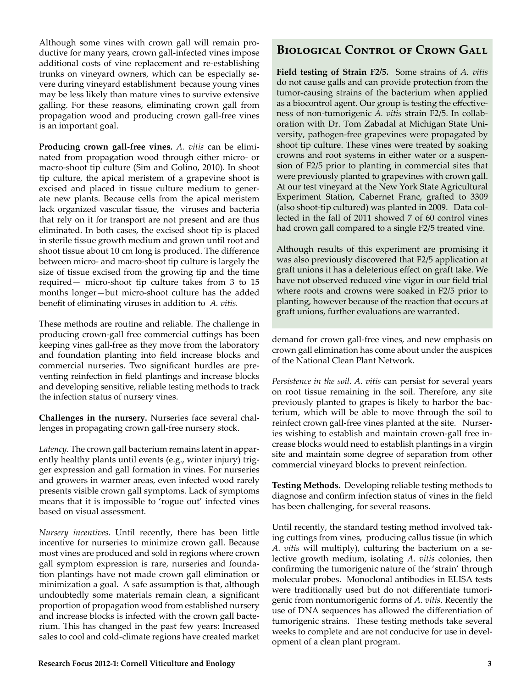Although some vines with crown gall will remain productive for many years, crown gall-infected vines impose additional costs of vine replacement and re-establishing trunks on vineyard owners, which can be especially severe during vineyard establishment because young vines may be less likely than mature vines to survive extensive galling. For these reasons, eliminating crown gall from propagation wood and producing crown gall-free vines is an important goal.

**Producing crown gall-free vines.** *A. vitis* can be eliminated from propagation wood through either micro- or macro-shoot tip culture (Sim and Golino, 2010). In shoot tip culture, the apical meristem of a grapevine shoot is excised and placed in tissue culture medium to generate new plants. Because cells from the apical meristem lack organized vascular tissue, the viruses and bacteria that rely on it for transport are not present and are thus eliminated. In both cases, the excised shoot tip is placed in sterile tissue growth medium and grown until root and shoot tissue about 10 cm long is produced. The difference between micro- and macro-shoot tip culture is largely the size of tissue excised from the growing tip and the time required— micro-shoot tip culture takes from 3 to 15 months longer—but micro-shoot culture has the added benefit of eliminating viruses in addition to *A. vitis.*

These methods are routine and reliable. The challenge in producing crown-gall free commercial cuttings has been keeping vines gall-free as they move from the laboratory and foundation planting into field increase blocks and commercial nurseries. Two significant hurdles are preventing reinfection in field plantings and increase blocks and developing sensitive, reliable testing methods to track the infection status of nursery vines.

**Challenges in the nursery.** Nurseries face several challenges in propagating crown gall-free nursery stock.

*Latency.* The crown gall bacterium remains latent in apparently healthy plants until events (e.g., winter injury) trigger expression and gall formation in vines. For nurseries and growers in warmer areas, even infected wood rarely presents visible crown gall symptoms. Lack of symptoms means that it is impossible to 'rogue out' infected vines based on visual assessment.

*Nursery incentives.* Until recently, there has been little incentive for nurseries to minimize crown gall. Because most vines are produced and sold in regions where crown gall symptom expression is rare, nurseries and foundation plantings have not made crown gall elimination or minimization a goal. A safe assumption is that, although undoubtedly some materials remain clean, a significant proportion of propagation wood from established nursery and increase blocks is infected with the crown gall bacterium. This has changed in the past few years: Increased sales to cool and cold-climate regions have created market

#### **Biological Control of Crown Gall**

**Field testing of Strain F2/5.** Some strains of *A. vitis* do not cause galls and can provide protection from the tumor-causing strains of the bacterium when applied as a biocontrol agent. Our group is testing the effectiveness of non-tumorigenic *A. vitis* strain F2/5. In collaboration with Dr. Tom Zabadal at Michigan State University, pathogen-free grapevines were propagated by shoot tip culture. These vines were treated by soaking crowns and root systems in either water or a suspension of F2/5 prior to planting in commercial sites that were previously planted to grapevines with crown gall. At our test vineyard at the New York State Agricultural Experiment Station, Cabernet Franc, grafted to 3309 (also shoot-tip cultured) was planted in 2009. Data collected in the fall of 2011 showed 7 of 60 control vines had crown gall compared to a single F2/5 treated vine.

Although results of this experiment are promising it was also previously discovered that F2/5 application at graft unions it has a deleterious effect on graft take. We have not observed reduced vine vigor in our field trial where roots and crowns were soaked in F2/5 prior to planting, however because of the reaction that occurs at graft unions, further evaluations are warranted.

demand for crown gall-free vines, and new emphasis on crown gall elimination has come about under the auspices of the National Clean Plant Network.

*Persistence in the soil. A. vitis* can persist for several years on root tissue remaining in the soil. Therefore, any site previously planted to grapes is likely to harbor the bacterium, which will be able to move through the soil to reinfect crown gall-free vines planted at the site. Nurseries wishing to establish and maintain crown-gall free increase blocks would need to establish plantings in a virgin site and maintain some degree of separation from other commercial vineyard blocks to prevent reinfection.

**Testing Methods.** Developing reliable testing methods to diagnose and confirm infection status of vines in the field has been challenging, for several reasons.

Until recently, the standard testing method involved taking cuttings from vines, producing callus tissue (in which *A. vitis* will multiply), culturing the bacterium on a selective growth medium, isolating *A. vitis* colonies, then confirming the tumorigenic nature of the 'strain' through molecular probes. Monoclonal antibodies in ELISA tests were traditionally used but do not differentiate tumorigenic from nontumorigenic forms of *A. vitis*. Recently the use of DNA sequences has allowed the differentiation of tumorigenic strains. These testing methods take several weeks to complete and are not conducive for use in development of a clean plant program.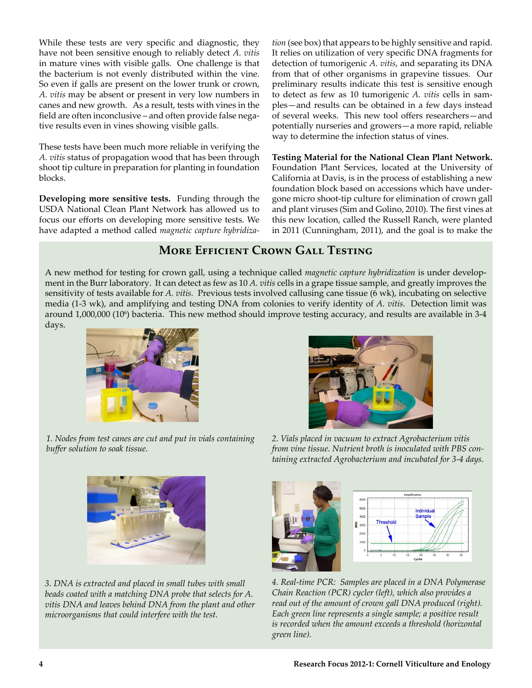While these tests are very specific and diagnostic, they have not been sensitive enough to reliably detect *A. vitis* in mature vines with visible galls. One challenge is that the bacterium is not evenly distributed within the vine. So even if galls are present on the lower trunk or crown, *A. vitis* may be absent or present in very low numbers in canes and new growth. As a result, tests with vines in the field are often inconclusive – and often provide false negative results even in vines showing visible galls.

These tests have been much more reliable in verifying the *A. vitis* status of propagation wood that has been through shoot tip culture in preparation for planting in foundation blocks.

**Developing more sensitive tests.** Funding through the USDA National Clean Plant Network has allowed us to focus our efforts on developing more sensitive tests. We have adapted a method called *magnetic capture hybridiza-* *tion* (see box) that appears to be highly sensitive and rapid. It relies on utilization of very specific DNA fragments for detection of tumorigenic *A. vitis*, and separating its DNA from that of other organisms in grapevine tissues. Our preliminary results indicate this test is sensitive enough to detect as few as 10 tumorigenic *A. vitis* cells in samples—and results can be obtained in a few days instead of several weeks. This new tool offers researchers—and potentially nurseries and growers—a more rapid, reliable way to determine the infection status of vines.

**Testing Material for the National Clean Plant Network.**  Foundation Plant Services, located at the University of California at Davis, is in the process of establishing a new foundation block based on accessions which have undergone micro shoot-tip culture for elimination of crown gall and plant viruses (Sim and Golino, 2010). The first vines at this new location, called the Russell Ranch, were planted in 2011 (Cunningham, 2011), and the goal is to make the

### **More Efficient Crown Gall Testing**

A new method for testing for crown gall, using a technique called *magnetic capture hybridization* is under development in the Burr laboratory. It can detect as few as 10 *A. vitis* cells in a grape tissue sample, and greatly improves the sensitivity of tests available for *A. vitis.* Previous tests involved callusing cane tissue (6 wk), incubating on selective media (1-3 wk), and amplifying and testing DNA from colonies to verify identity of *A. vitis*. Detection limit was around 1,000,000 (106 ) bacteria. This new method should improve testing accuracy, and results are available in 3-4 days.



*1. Nodes from test canes are cut and put in vials containing buffer solution to soak tissue.*



*3. DNA is extracted and placed in small tubes with small beads coated with a matching DNA probe that selects for A. vitis DNA and leaves behind DNA from the plant and other microorganisms that could interfere with the test.*

*2. Vials placed in vacuum to extract Agrobacterium vitis from vine tissue. Nutrient broth is inoculated with PBS containing extracted Agrobacterium and incubated for 3-4 days.*



*4. Real-time PCR: Samples are placed in a DNA Polymerase Chain Reaction (PCR) cycler (left), which also provides a read out of the amount of crown gall DNA produced (right). Each green line represents a single sample; a positive result is recorded when the amount exceeds a threshold (horizontal green line).*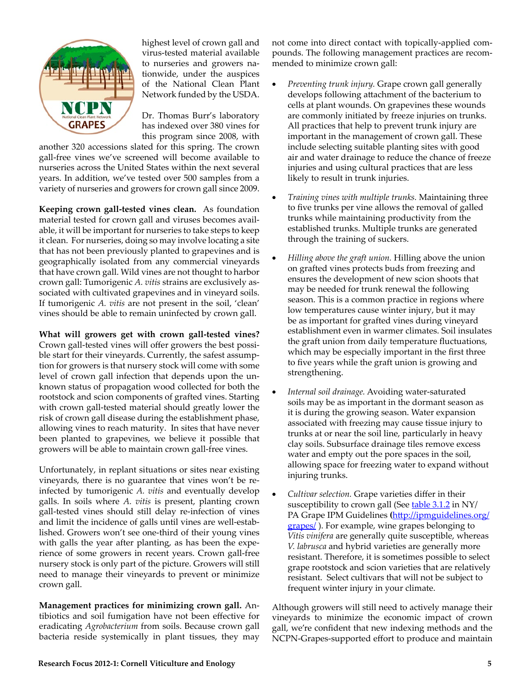

highest level of crown gall and virus-tested material available to nurseries and growers nationwide, under the auspices of the National Clean Plant Network funded by the USDA.

Dr. Thomas Burr's laboratory has indexed over 380 vines for this program since 2008, with

another 320 accessions slated for this spring. The crown gall-free vines we've screened will become available to nurseries across the United States within the next several years. In addition, we've tested over 500 samples from a variety of nurseries and growers for crown gall since 2009.

**Keeping crown gall-tested vines clean.** As foundation material tested for crown gall and viruses becomes available, it will be important for nurseries to take steps to keep it clean. For nurseries, doing so may involve locating a site that has not been previously planted to grapevines and is geographically isolated from any commercial vineyards that have crown gall. Wild vines are not thought to harbor crown gall: Tumorigenic *A. vitis* strains are exclusively associated with cultivated grapevines and in vineyard soils. If tumorigenic *A. vitis* are not present in the soil, 'clean' vines should be able to remain uninfected by crown gall.

**What will growers get with crown gall-tested vines?**  Crown gall-tested vines will offer growers the best possible start for their vineyards. Currently, the safest assumption for growers is that nursery stock will come with some level of crown gall infection that depends upon the unknown status of propagation wood collected for both the rootstock and scion components of grafted vines. Starting with crown gall-tested material should greatly lower the risk of crown gall disease during the establishment phase, allowing vines to reach maturity. In sites that have never been planted to grapevines, we believe it possible that growers will be able to maintain crown gall-free vines.

Unfortunately, in replant situations or sites near existing vineyards, there is no guarantee that vines won't be reinfected by tumorigenic *A. vitis* and eventually develop galls. In soils where *A. vitis* is present, planting crown gall-tested vines should still delay re-infection of vines and limit the incidence of galls until vines are well-established. Growers won't see one-third of their young vines with galls the year after planting, as has been the experience of some growers in recent years. Crown gall-free nursery stock is only part of the picture. Growers will still need to manage their vineyards to prevent or minimize crown gall.

**Management practices for minimizing crown gall.** Antibiotics and soil fumigation have not been effective for eradicating *Agrobacterium* from soils. Because crown gall bacteria reside systemically in plant tissues, they may not come into direct contact with topically-applied compounds. The following management practices are recommended to minimize crown gall:

- Preventing trunk injury. Grape crown gall generally develops following attachment of the bacterium to cells at plant wounds. On grapevines these wounds are commonly initiated by freeze injuries on trunks. All practices that help to prevent trunk injury are important in the management of crown gall. These include selecting suitable planting sites with good air and water drainage to reduce the chance of freeze injuries and using cultural practices that are less likely to result in trunk injuries.
- • *Training vines with multiple trunks.* Maintaining three to five trunks per vine allows the removal of galled trunks while maintaining productivity from the established trunks. Multiple trunks are generated through the training of suckers.
- Hilling above the graft union. Hilling above the union on grafted vines protects buds from freezing and ensures the development of new scion shoots that may be needed for trunk renewal the following season. This is a common practice in regions where low temperatures cause winter injury, but it may be as important for grafted vines during vineyard establishment even in warmer climates. Soil insulates the graft union from daily temperature fluctuations, which may be especially important in the first three to five years while the graft union is growing and strengthening.
- Internal soil drainage. Avoiding water-saturated soils may be as important in the dormant season as it is during the growing season. Water expansion associated with freezing may cause tissue injury to trunks at or near the soil line, particularly in heavy clay soils. Subsurface drainage tiles remove excess water and empty out the pore spaces in the soil, allowing space for freezing water to expand without injuring trunks.
- Cultivar selection. Grape varieties differ in their susceptibility to crown gall (See [table 3.1.2](http://ipmguidelines.org/grapes/) in NY/ PA Grape IPM Guidelines **(**[http://ipmguidelines.org/](http://ipmguidelines.org/grapes/) [grapes/](http://ipmguidelines.org/grapes/) ). For example, wine grapes belonging to *Vitis vinifera* are generally quite susceptible, whereas *V. labrusca* and hybrid varieties are generally more resistant. Therefore, it is sometimes possible to select grape rootstock and scion varieties that are relatively resistant. Select cultivars that will not be subject to frequent winter injury in your climate.

Although growers will still need to actively manage their vineyards to minimize the economic impact of crown gall, we're confident that new indexing methods and the NCPN-Grapes-supported effort to produce and maintain